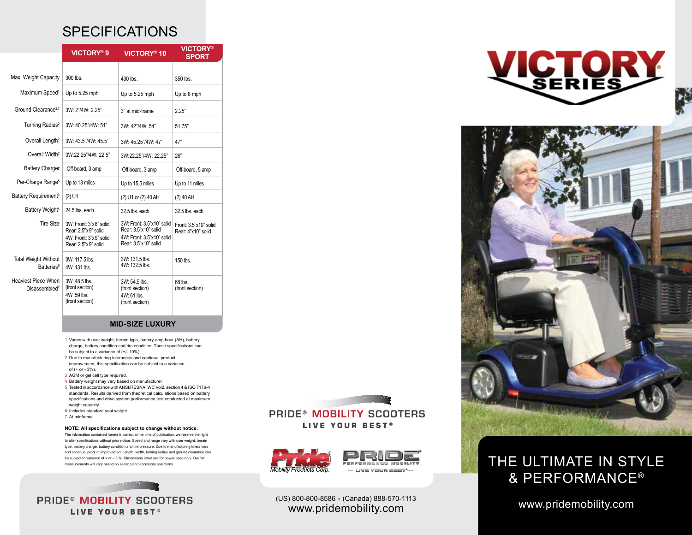## **SPECIFICATIONS**

|                                                         | VICTORY <sup>®</sup> 9                                                                         | VICTORY <sup>®</sup> 10                                                                                | <b>VICTORY®</b><br><b>SPORT</b>             |
|---------------------------------------------------------|------------------------------------------------------------------------------------------------|--------------------------------------------------------------------------------------------------------|---------------------------------------------|
|                                                         |                                                                                                |                                                                                                        |                                             |
| Max. Weight Capacity                                    | 300 lbs.                                                                                       | $400$ lbs.                                                                                             | 350 lbs.                                    |
| Maximum Speed <sup>1</sup>                              | Up to 5.25 mph                                                                                 | Up to 5.25 mph                                                                                         | Up to 8 mph                                 |
| Ground Clearance <sup>2,7</sup>                         | 3W: 2"/4W: 2.25"                                                                               | 3" at mid-frame                                                                                        | 2.25"                                       |
| Turning Radius <sup>2</sup>                             | 3W: 40.25"/4W: 51"                                                                             | 3W: 42"/4W: 54"                                                                                        | 51.75"                                      |
| Overall Length <sup>2</sup>                             | 3W: 43.5"/4W: 45.5"                                                                            | 3W: 45.25"/4W: 47"                                                                                     | 47"                                         |
| Overall Width <sup>2</sup>                              | 3W:22.25"/4W: 22.5"                                                                            | 3W:22.25"/4W: 22.25"                                                                                   | 26"                                         |
| <b>Battery Charger</b>                                  | Off-board, 3 amp                                                                               | Off-board, 3 amp                                                                                       | Off-board, 5 amp                            |
| Per-Charge Range <sup>5</sup>                           | Up to 13 miles                                                                                 | Up to 15.5 miles                                                                                       | Up to 11 miles                              |
| Battery Requirement <sup>3</sup>                        | $(2)$ U1                                                                                       | (2) U1 or (2) 40 AH                                                                                    | $(2)$ 40 AH                                 |
| Battery Weight <sup>4</sup>                             | 24.5 lbs. each                                                                                 | 32.5 lbs. each                                                                                         | 32.5 lbs. each                              |
| <b>Tire Size</b>                                        | 3W: Front: 3"x8" solid<br>Rear: 2.5"x9" solid<br>4W: Front: 3"x9" solid<br>Rear: 2.5"x9" solid | 3W: Front: 3.5"x10" solid<br>Rear: 3.5"x10" solid<br>4W: Front: 3.5"x10" solid<br>Rear: 3.5"x10" solid | Front: 3.5"x10" solid<br>Rear: 4"x10" solid |
| <b>Total Weight Without</b><br>Batteries <sup>6</sup>   | 3W: 117.5 lbs.<br>4W: 131 lbs.                                                                 | 3W: 131.5 lbs.<br>4W: 132.5 lbs.                                                                       | 150 lbs.                                    |
| <b>Heaviest Piece When</b><br>Disassembled <sup>2</sup> | 3W: 48.5 lbs.<br>(front section)<br>4W: 59 lbs.<br>(front section)                             | 3W: 54.5 lbs.<br>(front section)<br>4W: 61 lbs.<br>(front section)                                     | 68 lbs.<br>(front section)                  |

### **MID-SIZE LUXURY**

- 1 Varies with user weight, terrain type, battery amp-hour (AH), battery charge, battery condition and tire condition. These specifications can be subject to a variance of (+/- 10%).
- 2 Due to manufacturing tolerances and continual product improvement, this specification can be subject to a variance of (+ or - 3%).
- 3 AGM or gel cell type required.
- 4 Battery weight may vary based on manufacturer.
- 5 Tested in accordance with ANSI/RESNA, WC Vol2, section 4 & ISO 7176-4 standards. Results derived from theoretical calculations based on battery specifications and drive system performance test conducted at maximum weight capacity.
- 6 Includes standard seat weight.
- 7 At midframe.

#### **NOTE: All specifications subject to change without notice.**

The information contained herein is correct at the time of publication; we reserve the right to alter specifications without prior notice. Speed and range vary with user weight, terrain type, battery charge, battery condition and tire pressure. Due to manufacturing tolerances and continual product improvement, length, width, turning radius and ground clearance can be subject to variance of + or – 3 %. Dimensions listed are for power base only. Overall measurements will vary based on seating and accessory selections.

 $\frac{1}{2}$   $\frac{1}{2}$   $\frac{1}{2}$   $\frac{1}{2}$   $\frac{1}{2}$   $\frac{1}{2}$   $\frac{1}{2}$   $\frac{1}{2}$ **PRIDE® MOBILITY SCOOTERS** LIVE YOUR BEST®

a manah di di di di di di di di.<br>Kabupatèn Sulawesi **PRIDE® MOBILITY SCOOTERS** LIVE YOUR BEST®



www.pridemobility.com (US) 800-800-8586 . (Canada) 888-570-1113 www.pridemobility.com





## THE ULTIMATE IN STYLE & Performance®